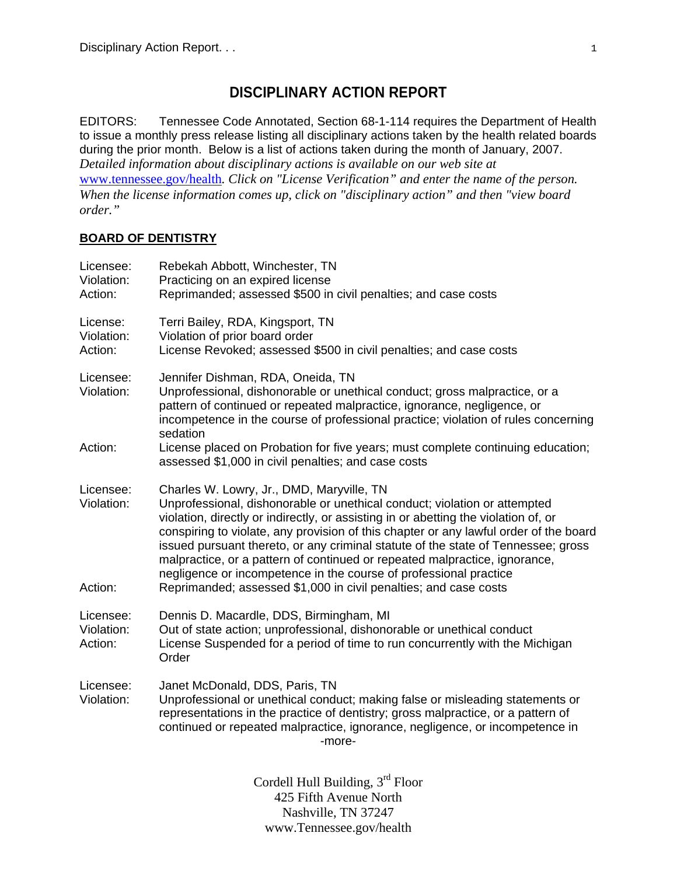# **DISCIPLINARY ACTION REPORT**

EDITORS: Tennessee Code Annotated, Section 68-1-114 requires the Department of Health to issue a monthly press release listing all disciplinary actions taken by the health related boards during the prior month. Below is a list of actions taken during the month of January, 2007. *Detailed information about disciplinary actions is available on our web site at*  www.tennessee.gov/health*. Click on "License Verification" and enter the name of the person. When the license information comes up, click on "disciplinary action" and then "view board order."* 

## **BOARD OF DENTISTRY**

| Licensee:<br>Violation:<br>Action: | Rebekah Abbott, Winchester, TN<br>Practicing on an expired license<br>Reprimanded; assessed \$500 in civil penalties; and case costs                                                                                                                                                                                                                                                                                                                                                                                                                                                                               |
|------------------------------------|--------------------------------------------------------------------------------------------------------------------------------------------------------------------------------------------------------------------------------------------------------------------------------------------------------------------------------------------------------------------------------------------------------------------------------------------------------------------------------------------------------------------------------------------------------------------------------------------------------------------|
| License:<br>Violation:<br>Action:  | Terri Bailey, RDA, Kingsport, TN<br>Violation of prior board order<br>License Revoked; assessed \$500 in civil penalties; and case costs                                                                                                                                                                                                                                                                                                                                                                                                                                                                           |
| Licensee:<br>Violation:            | Jennifer Dishman, RDA, Oneida, TN<br>Unprofessional, dishonorable or unethical conduct; gross malpractice, or a<br>pattern of continued or repeated malpractice, ignorance, negligence, or<br>incompetence in the course of professional practice; violation of rules concerning<br>sedation                                                                                                                                                                                                                                                                                                                       |
| Action:                            | License placed on Probation for five years; must complete continuing education;<br>assessed \$1,000 in civil penalties; and case costs                                                                                                                                                                                                                                                                                                                                                                                                                                                                             |
| Licensee:<br>Violation:<br>Action: | Charles W. Lowry, Jr., DMD, Maryville, TN<br>Unprofessional, dishonorable or unethical conduct; violation or attempted<br>violation, directly or indirectly, or assisting in or abetting the violation of, or<br>conspiring to violate, any provision of this chapter or any lawful order of the board<br>issued pursuant thereto, or any criminal statute of the state of Tennessee; gross<br>malpractice, or a pattern of continued or repeated malpractice, ignorance,<br>negligence or incompetence in the course of professional practice<br>Reprimanded; assessed \$1,000 in civil penalties; and case costs |
| Licensee:<br>Violation:<br>Action: | Dennis D. Macardle, DDS, Birmingham, MI<br>Out of state action; unprofessional, dishonorable or unethical conduct<br>License Suspended for a period of time to run concurrently with the Michigan<br>Order                                                                                                                                                                                                                                                                                                                                                                                                         |
| Licensee:<br>Violation:            | Janet McDonald, DDS, Paris, TN<br>Unprofessional or unethical conduct; making false or misleading statements or<br>representations in the practice of dentistry; gross malpractice, or a pattern of<br>continued or repeated malpractice, ignorance, negligence, or incompetence in<br>-more-                                                                                                                                                                                                                                                                                                                      |
|                                    | Cordell Hull Building, $3rd$ Floor                                                                                                                                                                                                                                                                                                                                                                                                                                                                                                                                                                                 |

425 Fifth Avenue North Nashville, TN 37247 www.Tennessee.gov/health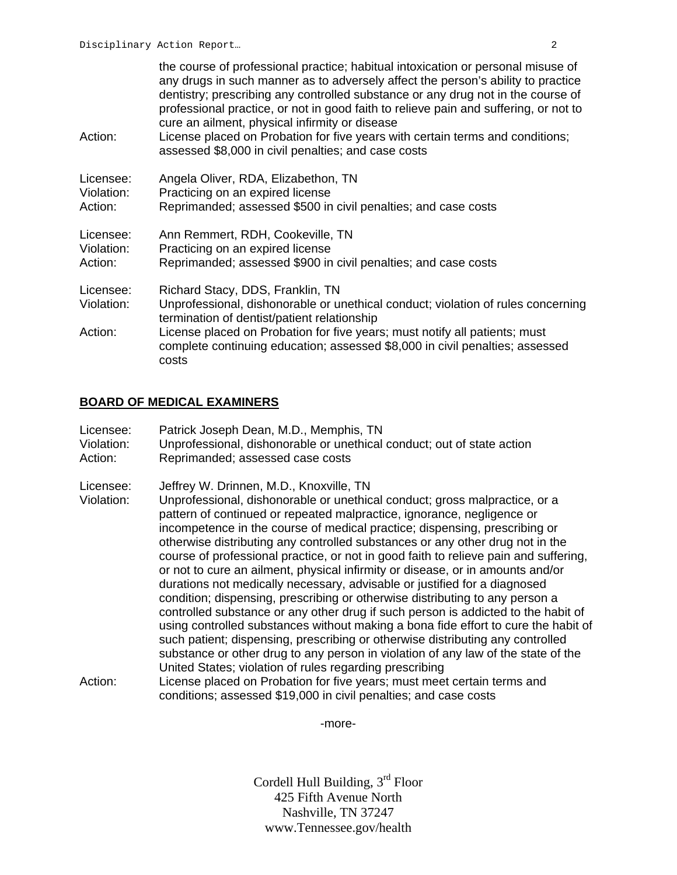| Action:                            | the course of professional practice; habitual intoxication or personal misuse of<br>any drugs in such manner as to adversely affect the person's ability to practice<br>dentistry; prescribing any controlled substance or any drug not in the course of<br>professional practice, or not in good faith to relieve pain and suffering, or not to<br>cure an ailment, physical infirmity or disease<br>License placed on Probation for five years with certain terms and conditions;<br>assessed \$8,000 in civil penalties; and case costs |
|------------------------------------|--------------------------------------------------------------------------------------------------------------------------------------------------------------------------------------------------------------------------------------------------------------------------------------------------------------------------------------------------------------------------------------------------------------------------------------------------------------------------------------------------------------------------------------------|
| Licensee:                          | Angela Oliver, RDA, Elizabethon, TN                                                                                                                                                                                                                                                                                                                                                                                                                                                                                                        |
| Violation:                         | Practicing on an expired license                                                                                                                                                                                                                                                                                                                                                                                                                                                                                                           |
| Action:                            | Reprimanded; assessed \$500 in civil penalties; and case costs                                                                                                                                                                                                                                                                                                                                                                                                                                                                             |
| Licensee:                          | Ann Remmert, RDH, Cookeville, TN                                                                                                                                                                                                                                                                                                                                                                                                                                                                                                           |
| Violation:                         | Practicing on an expired license                                                                                                                                                                                                                                                                                                                                                                                                                                                                                                           |
| Action:                            | Reprimanded; assessed \$900 in civil penalties; and case costs                                                                                                                                                                                                                                                                                                                                                                                                                                                                             |
| Licensee:<br>Violation:<br>Action: | Richard Stacy, DDS, Franklin, TN<br>Unprofessional, dishonorable or unethical conduct; violation of rules concerning<br>termination of dentist/patient relationship<br>License placed on Probation for five years; must notify all patients; must<br>complete continuing education; assessed \$8,000 in civil penalties; assessed<br>costs                                                                                                                                                                                                 |

### **BOARD OF MEDICAL EXAMINERS**

- Licensee: Patrick Joseph Dean, M.D., Memphis, TN Violation: Unprofessional, dishonorable or unethical conduct; out of state action Action: Reprimanded; assessed case costs
- Licensee: Jeffrey W. Drinnen, M.D., Knoxville, TN
- Violation: Unprofessional, dishonorable or unethical conduct; gross malpractice, or a pattern of continued or repeated malpractice, ignorance, negligence or incompetence in the course of medical practice; dispensing, prescribing or otherwise distributing any controlled substances or any other drug not in the course of professional practice, or not in good faith to relieve pain and suffering, or not to cure an ailment, physical infirmity or disease, or in amounts and/or durations not medically necessary, advisable or justified for a diagnosed condition; dispensing, prescribing or otherwise distributing to any person a controlled substance or any other drug if such person is addicted to the habit of using controlled substances without making a bona fide effort to cure the habit of such patient; dispensing, prescribing or otherwise distributing any controlled substance or other drug to any person in violation of any law of the state of the United States; violation of rules regarding prescribing
- Action: License placed on Probation for five years; must meet certain terms and conditions; assessed \$19,000 in civil penalties; and case costs

-more-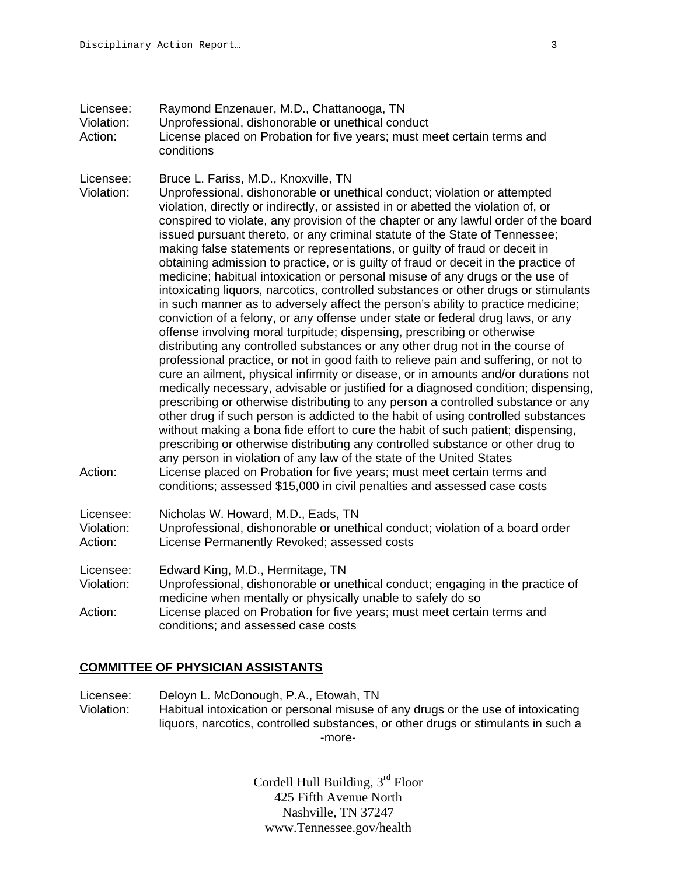- Licensee: Raymond Enzenauer, M.D., Chattanooga, TN Violation: Unprofessional, dishonorable or unethical conduct Action: License placed on Probation for five years; must meet certain terms and conditions
- Licensee: Bruce L. Fariss, M.D., Knoxville, TN
- Violation: Unprofessional, dishonorable or unethical conduct; violation or attempted violation, directly or indirectly, or assisted in or abetted the violation of, or conspired to violate, any provision of the chapter or any lawful order of the board issued pursuant thereto, or any criminal statute of the State of Tennessee; making false statements or representations, or guilty of fraud or deceit in obtaining admission to practice, or is guilty of fraud or deceit in the practice of medicine; habitual intoxication or personal misuse of any drugs or the use of intoxicating liquors, narcotics, controlled substances or other drugs or stimulants in such manner as to adversely affect the person's ability to practice medicine; conviction of a felony, or any offense under state or federal drug laws, or any offense involving moral turpitude; dispensing, prescribing or otherwise distributing any controlled substances or any other drug not in the course of professional practice, or not in good faith to relieve pain and suffering, or not to cure an ailment, physical infirmity or disease, or in amounts and/or durations not medically necessary, advisable or justified for a diagnosed condition; dispensing, prescribing or otherwise distributing to any person a controlled substance or any other drug if such person is addicted to the habit of using controlled substances without making a bona fide effort to cure the habit of such patient; dispensing, prescribing or otherwise distributing any controlled substance or other drug to any person in violation of any law of the state of the United States Action: License placed on Probation for five years; must meet certain terms and conditions; assessed \$15,000 in civil penalties and assessed case costs
- Licensee: Nicholas W. Howard, M.D., Eads, TN
- Violation: Unprofessional, dishonorable or unethical conduct; violation of a board order<br>Action: License Permanently Revoked: assessed costs License Permanently Revoked: assessed costs
- Licensee: Edward King, M.D., Hermitage, TN
- Violation: Unprofessional, dishonorable or unethical conduct; engaging in the practice of medicine when mentally or physically unable to safely do so
- Action: License placed on Probation for five years; must meet certain terms and conditions; and assessed case costs

## **COMMITTEE OF PHYSICIAN ASSISTANTS**

Licensee: Deloyn L. McDonough, P.A., Etowah, TN Violation: Habitual intoxication or personal misuse of any drugs or the use of intoxicating liquors, narcotics, controlled substances, or other drugs or stimulants in such a -more-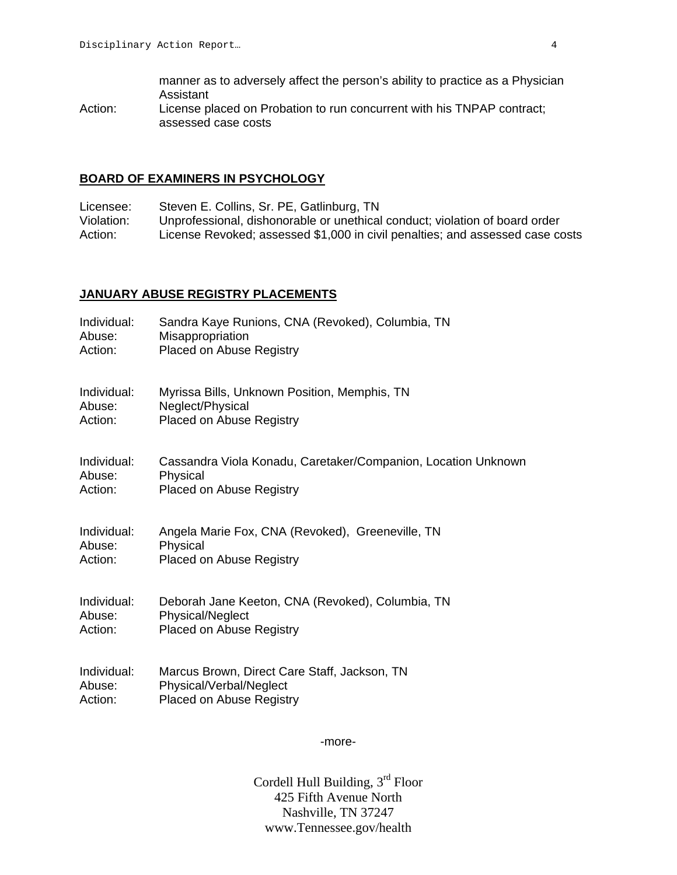manner as to adversely affect the person's ability to practice as a Physician Assistant

Action: License placed on Probation to run concurrent with his TNPAP contract; assessed case costs

#### **BOARD OF EXAMINERS IN PSYCHOLOGY**

Licensee: Steven E. Collins, Sr. PE, Gatlinburg, TN<br>Violation: Unprofessional. dishonorable or unethical Unprofessional, dishonorable or unethical conduct; violation of board order Action: License Revoked; assessed \$1,000 in civil penalties; and assessed case costs

#### **JANUARY ABUSE REGISTRY PLACEMENTS**

| Individual: | Sandra Kaye Runions, CNA (Revoked), Columbia, TN              |
|-------------|---------------------------------------------------------------|
| Abuse:      | Misappropriation                                              |
| Action:     | <b>Placed on Abuse Registry</b>                               |
| Individual: | Myrissa Bills, Unknown Position, Memphis, TN                  |
| Abuse:      | Neglect/Physical                                              |
| Action:     | <b>Placed on Abuse Registry</b>                               |
| Individual: | Cassandra Viola Konadu, Caretaker/Companion, Location Unknown |
| Abuse:      | Physical                                                      |
| Action:     | <b>Placed on Abuse Registry</b>                               |
| Individual: | Angela Marie Fox, CNA (Revoked), Greeneville, TN              |
| Abuse:      | Physical                                                      |
| Action:     | <b>Placed on Abuse Registry</b>                               |
| Individual: | Deborah Jane Keeton, CNA (Revoked), Columbia, TN              |
| Abuse:      | <b>Physical/Neglect</b>                                       |
| Action:     | <b>Placed on Abuse Registry</b>                               |
| Individual: | Marcus Brown, Direct Care Staff, Jackson, TN                  |
| Abuse:      | Physical/Verbal/Neglect                                       |
| Action:     | <b>Placed on Abuse Registry</b>                               |

-more-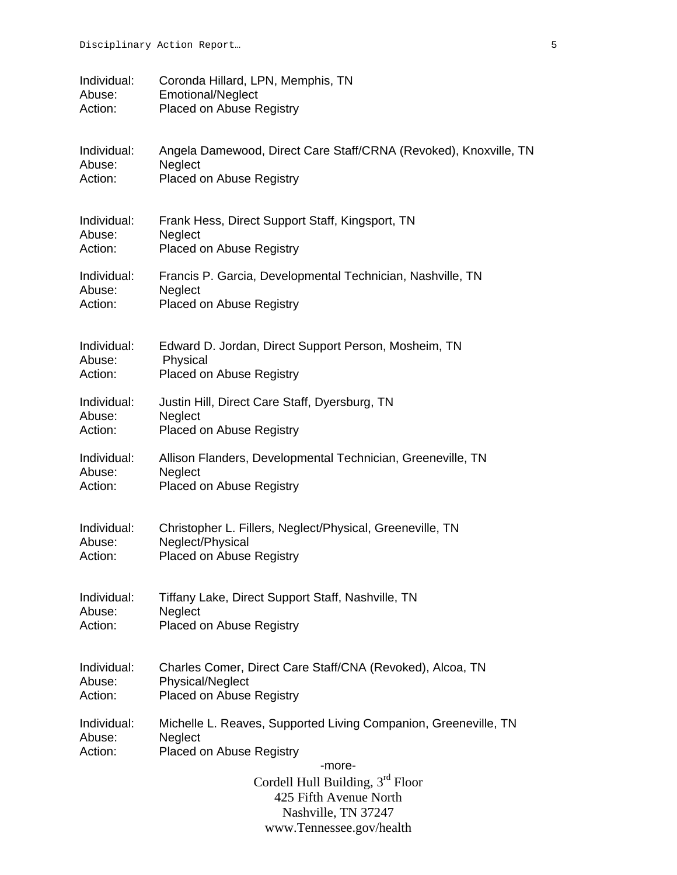| Individual:                      | Coronda Hillard, LPN, Memphis, TN                                                                                                                                                                                                   |
|----------------------------------|-------------------------------------------------------------------------------------------------------------------------------------------------------------------------------------------------------------------------------------|
| Abuse:                           | <b>Emotional/Neglect</b>                                                                                                                                                                                                            |
| Action:                          | Placed on Abuse Registry                                                                                                                                                                                                            |
| Individual:                      | Angela Damewood, Direct Care Staff/CRNA (Revoked), Knoxville, TN                                                                                                                                                                    |
| Abuse:                           | Neglect                                                                                                                                                                                                                             |
| Action:                          | Placed on Abuse Registry                                                                                                                                                                                                            |
| Individual:                      | Frank Hess, Direct Support Staff, Kingsport, TN                                                                                                                                                                                     |
| Abuse:                           | Neglect                                                                                                                                                                                                                             |
| Action:                          | Placed on Abuse Registry                                                                                                                                                                                                            |
| Individual:                      | Francis P. Garcia, Developmental Technician, Nashville, TN                                                                                                                                                                          |
| Abuse:                           | Neglect                                                                                                                                                                                                                             |
| Action:                          | Placed on Abuse Registry                                                                                                                                                                                                            |
| Individual:                      | Edward D. Jordan, Direct Support Person, Mosheim, TN                                                                                                                                                                                |
| Abuse:                           | Physical                                                                                                                                                                                                                            |
| Action:                          | Placed on Abuse Registry                                                                                                                                                                                                            |
| Individual:                      | Justin Hill, Direct Care Staff, Dyersburg, TN                                                                                                                                                                                       |
| Abuse:                           | Neglect                                                                                                                                                                                                                             |
| Action:                          | Placed on Abuse Registry                                                                                                                                                                                                            |
| Individual:                      | Allison Flanders, Developmental Technician, Greeneville, TN                                                                                                                                                                         |
| Abuse:                           | Neglect                                                                                                                                                                                                                             |
| Action:                          | Placed on Abuse Registry                                                                                                                                                                                                            |
| Individual:                      | Christopher L. Fillers, Neglect/Physical, Greeneville, TN                                                                                                                                                                           |
| Abuse:                           | Neglect/Physical                                                                                                                                                                                                                    |
| Action:                          | Placed on Abuse Registry                                                                                                                                                                                                            |
| Individual:                      | Tiffany Lake, Direct Support Staff, Nashville, TN                                                                                                                                                                                   |
| Abuse:                           | Neglect                                                                                                                                                                                                                             |
| Action:                          | Placed on Abuse Registry                                                                                                                                                                                                            |
| Individual:                      | Charles Comer, Direct Care Staff/CNA (Revoked), Alcoa, TN                                                                                                                                                                           |
| Abuse:                           | <b>Physical/Neglect</b>                                                                                                                                                                                                             |
| Action:                          | Placed on Abuse Registry                                                                                                                                                                                                            |
| Individual:<br>Abuse:<br>Action: | Michelle L. Reaves, Supported Living Companion, Greeneville, TN<br>Neglect<br>Placed on Abuse Registry<br>-more-<br>Cordell Hull Building, $3rd$ Floor<br>425 Fifth Avenue North<br>Nashville, TN 37247<br>www.Tennessee.gov/health |